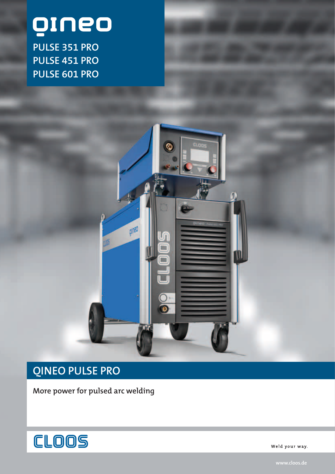# oruó

**PULSE 351 PRO PULSE 451 PRO PULSE 601 PRO**



# **QINEO PULSE PRO**

**More power for pulsed arc welding** 



Weld your way.

**www.cloos.de**